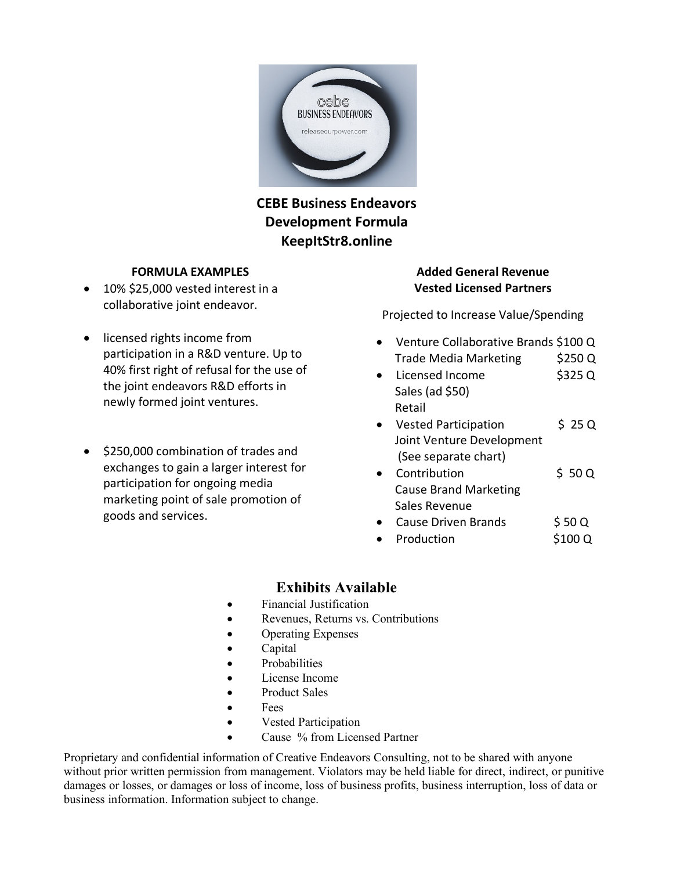

## **CEBE Business Endeavors Development Formula KeepItStr8.online**

#### **FORMULA EXAMPLES**

- 10% \$25,000 vested interest in a collaborative joint endeavor.
- licensed rights income from participation in a R&D venture. Up to 40% first right of refusal for the use of the joint endeavors R&D efforts in newly formed joint ventures.
- \$250,000 combination of trades and exchanges to gain a larger interest for participation for ongoing media marketing point of sale promotion of goods and services.

### **Added General Revenue Vested Licensed Partners**

Projected to Increase Value/Spending

- Venture Collaborative Brands \$100 Q Trade Media Marketing \$250 Q
- Licensed Income \$325 Q Sales (ad \$50) Retail
- Vested Participation \$ 25 Q Joint Venture Development (See separate chart)
- Contribution \$ 50 Q Cause Brand Marketing Sales Revenue
- Cause Driven Brands \$ 50 Q
- Production \$100 Q

## **Exhibits Available**

- Financial Justification
- Revenues, Returns vs. Contributions
- Operating Expenses
- Capital
- **Probabilities**
- License Income
- Product Sales
- Fees
- Vested Participation
- Cause % from Licensed Partner

Proprietary and confidential information of Creative Endeavors Consulting, not to be shared with anyone without prior written permission from management. Violators may be held liable for direct, indirect, or punitive damages or losses, or damages or loss of income, loss of business profits, business interruption, loss of data or business information. Information subject to change.